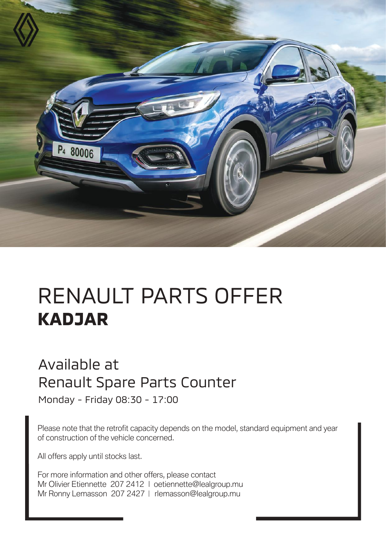

## RENAULT PARTS OFFER **KADJAR**

## Available at Renault Spare Parts Counter

Monday - Friday 08:30 - 17:00

Please note that the retrofit capacity depends on the model, standard equipment and year of construction of the vehicle concerned.

All offers apply until stocks last.

For more information and other offers, please contact Mr Olivier Etiennette 207 2412 | oetiennette@lealgroup.mu Mr Ronny Lemasson 207 2427 | rlemasson@lealgroup.mu